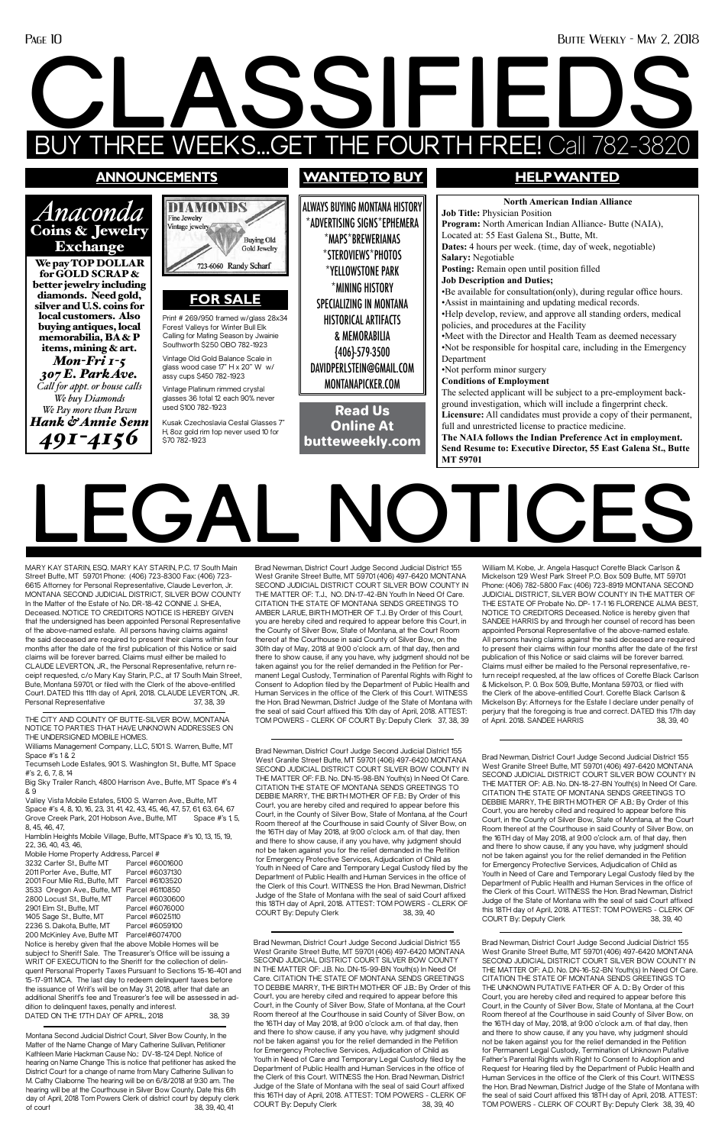### Page 10 Butte Weekly - May 2, 2018

# **LEGAL NOTICES**

MARY KAY STARIN, ESQ. MARY KAY STARIN, P.C. 17 South Main Street Butte, MT 59701 Phone: (406) 723-8300 Fax: (406) 723- 6615 Attorney for Personal Representative, Claude Leverton, Jr. MONTANA SECOND JUDICIAL DISTRICT, SILVER BOW COUNTY In the Matter of the Estate of No. DR-18-42 CONNIE J. SHEA, Deceased. NOTICE TO CREDITORS NOTICE IS HEREBY GIVEN that the undersigned has been appointed Personal Representative of the above-named estate. All persons having claims against the said deceased are required to present their claims within four months after the date of the first publication of this Notice or said claims will be forever barred. Claims must either be mailed to CLAUDE LEVERTON, JR., the Personal Representative, return receipt requested, c/o Mary Kay Starin, P.C., at 17 South Main Street, Bute, Montana 59701, or filed with the Clerk of the above-entitled Court. DATED this 11th day of April, 2018. CLAUDE LEVERTON, JR. Personal Representative 37, 38, 39

Brad Newman, District Court Judge Second Judicial District 155 West Granite Street Butte, MT 59701 (406) 497-6420 MONTANA SECOND JUDICIAL DISTRICT COURT SILVER BOW COUNTY IN THE MATTER OF: T.J., NO. DN-17-42-BN Youth In Need Of Care. CITATION THE STATE OF MONTANA SENDS GREETINGS TO AMBER LARUE, BIRTH MOTHER OF T.J. By Order of this Court, you are hereby cited and required to appear before this Court, in the County of Silver Bow, State of Montana, at the Court Room thereof at the Courthouse in said County of Silver Bow, on the 30th day of May, 2018 at 9:00 o'clock a.m. of that day, then and there to show cause, if any you have, why judgment should not be taken against you for the relief demanded in the Petition for Permanent Legal Custody, Termination of Parental Rights with Right to Consent to Adoption filed by the Department of Public Health and Human Services in the office of the Clerk of this Court. WITNESS the Hon. Brad Newman, District Judge of the State of Montana with the seal of said Court affixed this 10th day of April, 2018. ATTEST: TOM POWERS - CLERK OF COURT By: Deputy Clerk 37, 38, 39

Notice is hereby given that the above Mobile Homes will be subject to Sheriff Sale. The Treasurer's Office will be issuing a WRIT OF EXECUTION to the Sheriff for the collection of delinquent Personal Property Taxes Pursuant to Sections 15-16-401 and 15-17-911 MCA. The last day to redeem delinquent taxes before the issuance of Writ's will be on May 31, 2018, after that date an additional Sheriff's fee and Treasurer's fee will be assessed in addition to delinquent taxes, penalty and interest. DATED ON THE 17TH DAY OF APRIL, 2018 38, 39

William M. Kobe, Jr. Angela Hasquct Corette Black Carlson & Mickelson 129 West Park Street P.O. Box 509 Butte, MT 59701 Phone: (406) 782-5800 Fax: (406) 723-8919 MONTANA SECOND JUDICIAL DISTRICT, SILVER BOW COUNTY IN THE MATTER OF THE ESTATE OF Probate No. DP- 1 7-1 16 FLORENCE ALMA BEST, NOTICE TO CREDITORS Deceased. Notice is hereby given that SANDEE HARRIS by and through her counsel of record has been appointed Personal Representative of the above-named estate. All persons having claims against the said deceased are required to present their claims within four months after the date of the first publication of this Notice or said claims will be forever barred. Claims must either be mailed to the Personal representative, return receipt requested, at the law offices of Corette Black Carlson & Mickelson, P. 0. Box 509, Butte, Montana 59703, or flied with the Clerk of the above-entitled Court. Corette Black Carlson & Mickelson By: Attorneys for the Estate I declare under penalty of perjury that the foregoing is true and correct. DATED this 17th day of April. 2018. SANDEE HARRIS 38, 39, 40

THE CITY AND COUNTY OF BUTTE-SILVER BOW, MONTANA NOTICE TO PARTIES THAT HAVE UNKNOWN ADDRESSES ON THE UNDERSIGNED MOBILE HOMES.

Williams Management Company, LLC, 5101 S. Warren, Butte, MT Space #'s 1 & 2

Tecumseh Lode Estates, 901 S. Washington St., Butte, MT Space #'s 2, 6, 7, 8, 14

Brad Newman, District Court Judge Second Judicial District 155 West Granite Street Butte, MT 59701 (406) 497-6420 MONTANA SECOND JUDICIAL DISTRICT COURT SILVER BOW COUNTY IN THE MATTER OF: A.B. No. DN-18-27-BN Youth(s) In Need Of Care. CITATION THE STATE OF MONTANA SENDS GREETINGS TO DEBBIE MARRY, THE BIRTH MOTHER OF A.B.: By Order of this Court, you are hereby cited and required to appear before this Court, in the County of Silver Bow, State of Montana, at the Court Room thereof at the Courthouse in said County of Silver Bow, on the 16TH day of May 2018, at 9:00 o'clock a.m. of that day, then and there to show cause, if any you have, why judgment should not be taken against you for the relief demanded in the Petition for Emergency Protective Services, Adjudication of Child as Youth in Need of Care and Temporary Legal Custody filed by the Department of Public Health and Human Services in the office of the Clerk of this Court. WITNESS the Hon. Brad Newman, District Judge of the State of Montana with the seal of said Court affixed this 18TH day of April, 2018. ATTEST: TOM POWERS - CLERK OF COURT By: Deputy Clerk 38, 39, 40

Big Sky Trailer Ranch, 4800 Harrison Ave., Butte, MT Space #'s 4 & 9

Valley Vista Mobile Estates, 5100 S. Warren Ave., Butte, MT Space #'s 4, 8, 10, 16, 23, 31, 41, 42, 43, 45, 46, 47, 57, 61, 63, 64, 67 Grove Creek Park, 201 Hobson Ave., Butte, MT Space #'s 1, 5, 8, 45, 46, 47,

Hamblin Heights Mobile Village, Butte, MTSpace #'s 10, 13, 15, 19,

22, 36, 40, 43, 46, Mobile Home Property Address, Parcel #<br>3232 Carter St., Butte MT Parcel #6001600 3232 Carter St., Butte MT Parcel #6001600<br>2011 Porter Ave Butte MT Parcel #6037130 2011 Porter Ave., Butte, MT 2001 Four Mile Rd., Butte, MT Parcel #6103520 3533 Oregon Ave., Butte, MT Parcel #6110850 2800 Locust St., Butte, MT Parcel #6030600 2901 Elm St., Butte, MT Parcel #6076000 1405 Sage St., Butte, MT Parcel #6025110<br>2236 S Dakota Butte MT Parcel #6059100 2236 S. Dakota, Butte, MT 200 McKinley Ave, Butte MT Parcel#6074700

Brad Newman, District Court Judge Second Judicial District 155 West Granite Street Butte, MT 59701 (406) 497-6420 MONTANA SECOND JUDICIAL DISTRICT COURT SILVER BOW COUNTY IN THE MATTER OF: F.B. No. DN-15-98-BN Youth(s) In Need Of Care. CITATION THE STATE OF MONTANA SENDS GREETINGS TO DEBBIE MARRY, THE BIRTH MOTHER OF F.B.: By Order of this Court, you are hereby cited and required to appear before this Court, in the County of Silver Bow, State of Montana, at the Court Room thereof at the Courthouse in said County of Silver Bow, on the 16TH day of May 2018, at 9:00 o'clock a.m. of that day, then and there to show cause, if any you have, why judgment shoulc not be taken against you for the relief demanded in the Petition for Emergency Protective Services, Adjudication of Child as Youth in Need of Care and Temporary Legal Custody filed by the Department of Public Health and Human Services in the office of the Clerk of this Court. WITNESS the Hon. Brad Newman, District Judge of the State of Montana with the seal of said Court affixed this 18TH day of April, 2018. ATTEST: TOM POWERS - CLERK OF COURT By: Deputy Clerk COURT By: Deputy Clerk

Brad Newman, District Court Judge Second Judicial District 155 West Granite Street Butte, MT 59701 (406) 497-6420 MONTANA SECOND JUDICIAL DISTRICT COURT SILVER BOW COUNTY IN THE MATTER OF: J.B. No. DN-15-99-BN Youth(s) In Need Of Care. CITATION THE STATE OF MONTANA SENDS GREETINGS TO DEBBIE MARRY, THE BIRTH MOTHER OF J.B.: By Order of this Court, you are hereby cited and required to appear before this Court, in the County of Silver Bow, State of Montana, at the Court Room thereof at the Courthouse in said County of Silver Bow, on the 16TH day of May 2018, at 9:00 o'clock a.m. of that day, then and there to show cause, if any you have, why judgment should not be taken against you for the relief demanded in the Petition for Emergency Protective Services, Adjudication of Child as Youth in Need of Care and Temporary Legal Custody filed by the Department of Public Health and Human Services in the office of the Clerk of this Court. WITNESS the Hon. Brad Newman, District Judge of the State of Montana with the seal of said Court affixed this 16TH day of April, 2018. ATTEST: TOM POWERS - CLERK OF COURT By: Deputy Clerk 38, 39, 40

## **CLASSIFIEDS** BUY THREE WEEKS...GET THE FOURTH FREE! Call 782-3820

Brad Newman, District Court Judge Second Judicial District 155 West Granite Street Butte, MT 59701 (406) 497-6420 MONTANA SECOND JUDICIAL DISTRICT COURT SILVER BOW COUNTY IN THE MATTER OF: A.D. No. DN-16-52-BN Youth(s) In Need Of Care. CITATION THE STATE OF MONTANA SENDS GREETINGS TO THE UNKNOWN PUTATIVE FATHER OF A. D.: By Order of this Court, you are hereby cited and required to appear before this Court, in the County of Silver Bow, State of Montana, at the Court Room thereof at the Courthouse in said County of Silver Bow, on the 16TH day of May, 2018, at 9:00 o'clock a.m. of that day, then and there to show cause, if any you have, why judgment should not be taken against you for the relief demanded in the Petition for Permanent Legal Custody, Termination of Unknown Putative Father's Parental Rights with Right to Consent to Adoption and Request for Hearing filed by the Department of Public Health and Human Services in the office of the Clerk of this Court. WITNESS the Hon. Brad Newman, District Judge of the State of Montana with the seal of said Court affixed this 18TH day of April, 2018. ATTEST: TOM POWERS - CLERK OF COURT By: Deputy Clerk 38, 39, 40

Montana Second Judicial District Court, Silver Bow County, In the Matter of the Name Change of Mary Catherine Sullivan, Petitioner Kathleen Marie Hackman Cause No.: DV-18-124 Dept. Notice of hearing on Name Change This is notice that petitioner has asked the District Court for a change of name from Mary Catherine Sullivan to M. Cathy Claiborne The hearing will be on 6/8/2018 at 9:30 am. The hearing will be at the Courthouse in Silver Bow County. Date this 6th day of April, 2018 Tom Powers Clerk of district court by deputy clerk of court 38, 39, 40, 41

### **announcements**

*Anaconda*  Coins & Jewelry Exchange We pay TOP DOLLAR for GOLD SCRAP & better jewelry including diamonds. Need gold, silver and U.S. coins for local customers. Also buying antiques, local memorabilia, BA & P items, mining & art. *Mon-Fri 1-5 307 E. Park Ave. Call for appt. or house calls We buy Diamonds We Pay more than Pawn Hank & Annie Senn 491-4156*

ALWAYS BUYING MONTANA HISTORY \*ADVERTISING SIGNS\*EPHEMERA \*MAPS\*BREWERIANAS \*STEROVIEWS\*PHOTOS \*YELLOWSTONE PARK \*MINING HISTORY SPECIALIZING IN MONTANA HISTORICAL ARTIFACTS & MEMORABILIA {406}-579-3500 DAVIDPERLSTEIN@GMAIL.COM MONTANAPICKER.COM

### **wantedto buy HELP WANTED**

**North American Indian Alliance Job Title:** Physician Position **Program:** North American Indian Alliance- Butte (NAIA), Located at: 55 East Galena St., Butte, Mt. **Dates:** 4 hours per week. (time, day of week, negotiable) **Salary:** Negotiable **Posting:** Remain open until position filled **Job Description and Duties;** •Be available for consultation(only), during regular office hours. •Assist in maintaining and updating medical records. •Help develop, review, and approve all standing orders, medical policies, and procedures at the Facility •Meet with the Director and Health Team as deemed necessary •Not be responsible for hospital care, including in the Emergency Department •Not perform minor surgery **Conditions of Employment** The selected applicant will be subject to a pre-employment background investigation, which will include a fingerprint check. **Licensure:** All candidates must provide a copy of their permanent, full and unrestricted license to practice medicine. **The NAIA follows the Indian Preference Act in employment. Send Resume to: Executive Director, 55 East Galena St., Butte MT 59701**

Read Us Online At butteweekly.com

Print # 269/950 framed w/glass 28x34 Forest Valleys for Winter Bull Elk Calling for Mating Season by Jwainie Southworth \$250 OBO 782-1923

**FOR SALE**

723-6060 Randy Scharf

**Buying Old** Gold Jewelry

**DIAMOND** 

Fine Jewelry Vintage jewelry

Vintage Old Gold Balance Scale in glass wood case 17" H x 20" W w/ assy cups \$450 782-1923 Vintage Platinum rimmed crystal glasses 36 total 12 each 90% never

used \$100 782-1923

Kusak Czechoslavia Cestal Glasses 7" H, 8oz gold rim top never used 10 for

\$70 782-1923